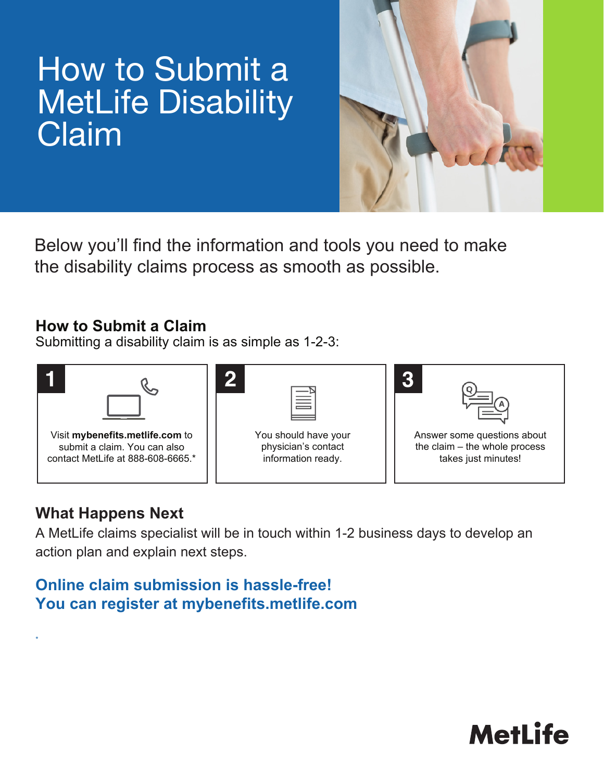## How to Submit a **MetLife Disability** Claim



Below you'll find the information and tools you need to make the disability claims process as smooth as possible.

### **How to Submit a Claim**

Submitting a disability claim is as simple as 1-2-3:



## **What Happens Next**

\*

A MetLife claims specialist will be in touch within 1-2 business days to develop an action plan and explain next steps.

## **Online claim submission is hassle-free! You can register at mybenefits.metlife.com**